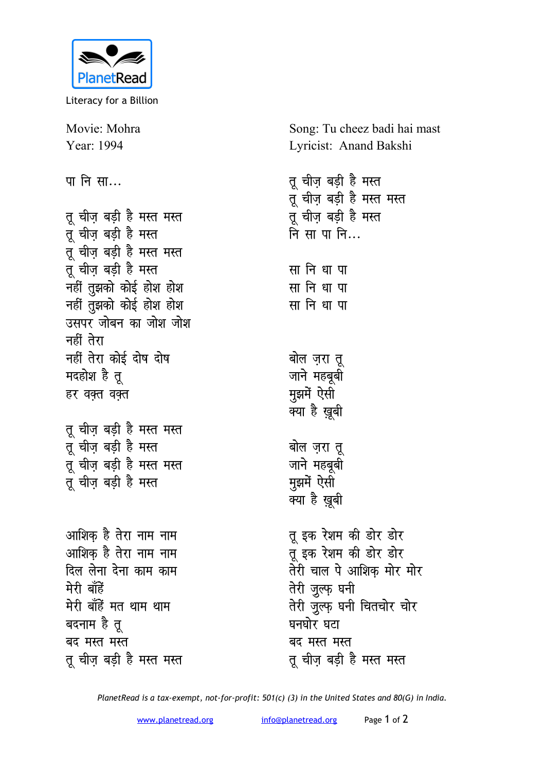

Literacy for a Billion

Movie: Mohra Song: Tu cheez badi hai mast Year: 1994 Lyricist: Anand Bakshi तू चीज़ बड़ी है मस्त पा नि सा... तू चीज़ बड़ी है मस्त मस्त तू चीज़ बड़ी है मस्त मस्त तू चीज़ बड़ी है मस्त तू चीज़ बड़ी है मस्त नि सा पा नि... तू चीज़ बड़ी है मस्त मस्त तू चीज़ बड़ी है मस्त सा नि धा पा नहीं तुझको कोई होश होश सा नि धा पा नहीं तुझको कोई होश होश सा नि धा पा उसपर जोबन का जोश जोश नहीं तेरा नहीं तेरा कोई दोष दोष बोल ज़रा तू मदहोश है तु जाने महबुबी मुझमें ऐसी हर वक्त वक्त क्या है ख़ूबी तू चीज़ बड़ी है मस्त मस्त तू चीज़ बड़ी है मस्त बोल ज़रा तू जाने महबूबी तू चीज़ बड़ी है मस्त मस्त मुझमें ऐसी तू चीज़ बड़ी है मस्त क्या है ख़ूबी तू इक रेशम की डोर डोर आशिक है तेरा नाम नाम तू इक रेशम की डोर डोर आशिक है तेरा नाम नाम दिल लेना देना काम काम तेरी चाल पे आशिक मोर मोर मेरी बॉहें तेरी जुल्फ़ घनी मेरी बाँहें मत थाम थाम तेरी जुल्फ घनी चितचोर चोर बदनाम है तू घनघोर घटा बद मस्त मस्त बद मस्त मस्त तू चीज़ बड़ी है मस्त मस्त तू चीज़ बड़ी है मस्त मस्त

PlanetRead is a tax-exempt, not-for-profit: 501(c) (3) in the United States and 80(G) in India.